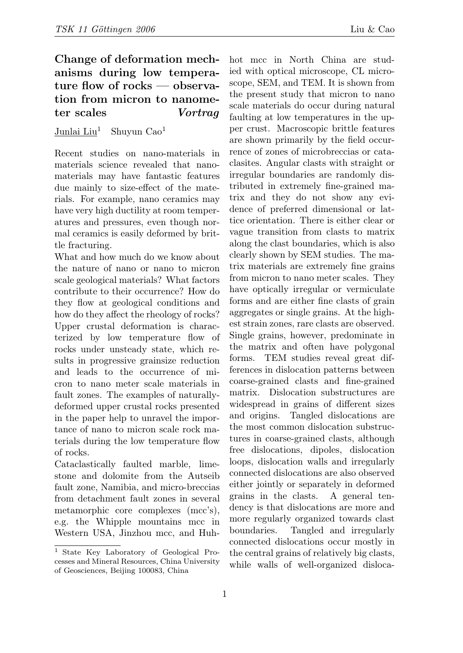## Change of deformation mechanisms during low temperature flow of rocks — observation from micron to nanometer scales Vortrag

## Junlai  $Liu<sup>1</sup>$  Shuyun Cao<sup>1</sup>

Recent studies on nano-materials in materials science revealed that nanomaterials may have fantastic features due mainly to size-effect of the materials. For example, nano ceramics may have very high ductility at room temperatures and pressures, even though normal ceramics is easily deformed by brittle fracturing.

What and how much do we know about the nature of nano or nano to micron scale geological materials? What factors contribute to their occurrence? How do they flow at geological conditions and how do they affect the rheology of rocks? Upper crustal deformation is characterized by low temperature flow of rocks under unsteady state, which results in progressive grainsize reduction and leads to the occurrence of micron to nano meter scale materials in fault zones. The examples of naturallydeformed upper crustal rocks presented in the paper help to unravel the importance of nano to micron scale rock materials during the low temperature flow of rocks.

Cataclastically faulted marble, limestone and dolomite from the Autseib fault zone, Namibia, and micro-breccias from detachment fault zones in several metamorphic core complexes (mcc's), e.g. the Whipple mountains mcc in Western USA, Jinzhou mcc, and Huhhot mcc in North China are studied with optical microscope, CL microscope, SEM, and TEM. It is shown from the present study that micron to nano scale materials do occur during natural faulting at low temperatures in the upper crust. Macroscopic brittle features are shown primarily by the field occurrence of zones of microbreccias or cataclasites. Angular clasts with straight or irregular boundaries are randomly distributed in extremely fine-grained matrix and they do not show any evidence of preferred dimensional or lattice orientation. There is either clear or vague transition from clasts to matrix along the clast boundaries, which is also clearly shown by SEM studies. The matrix materials are extremely fine grains from micron to nano meter scales. They have optically irregular or vermiculate forms and are either fine clasts of grain aggregates or single grains. At the highest strain zones, rare clasts are observed. Single grains, however, predominate in the matrix and often have polygonal forms. TEM studies reveal great differences in dislocation patterns between coarse-grained clasts and fine-grained matrix. Dislocation substructures are widespread in grains of different sizes and origins. Tangled dislocations are the most common dislocation substructures in coarse-grained clasts, although free dislocations, dipoles, dislocation loops, dislocation walls and irregularly connected dislocations are also observed either jointly or separately in deformed grains in the clasts. A general tendency is that dislocations are more and more regularly organized towards clast boundaries. Tangled and irregularly connected dislocations occur mostly in the central grains of relatively big clasts, while walls of well-organized disloca-

<sup>1</sup> State Key Laboratory of Geological Processes and Mineral Resources, China University of Geosciences, Beijing 100083, China